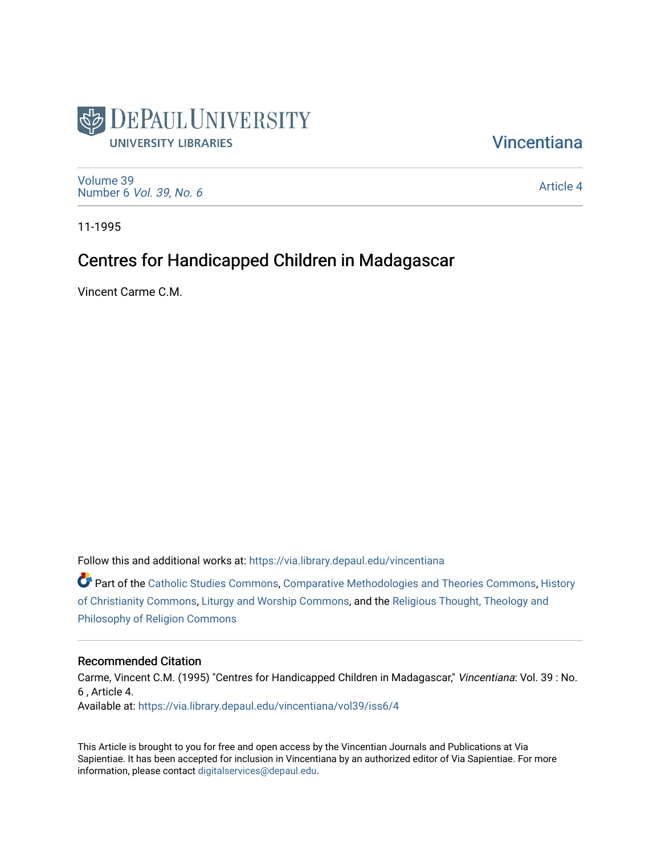

**Vincentiana** 

[Volume 39](https://via.library.depaul.edu/vincentiana/vol39) Number 6 [Vol. 39, No. 6](https://via.library.depaul.edu/vincentiana/vol39/iss6)

[Article 4](https://via.library.depaul.edu/vincentiana/vol39/iss6/4) 

11-1995

## Centres for Handicapped Children in Madagascar

Vincent Carme C.M.

Follow this and additional works at: [https://via.library.depaul.edu/vincentiana](https://via.library.depaul.edu/vincentiana?utm_source=via.library.depaul.edu%2Fvincentiana%2Fvol39%2Fiss6%2F4&utm_medium=PDF&utm_campaign=PDFCoverPages) 

Part of the [Catholic Studies Commons](http://network.bepress.com/hgg/discipline/1294?utm_source=via.library.depaul.edu%2Fvincentiana%2Fvol39%2Fiss6%2F4&utm_medium=PDF&utm_campaign=PDFCoverPages), [Comparative Methodologies and Theories Commons,](http://network.bepress.com/hgg/discipline/540?utm_source=via.library.depaul.edu%2Fvincentiana%2Fvol39%2Fiss6%2F4&utm_medium=PDF&utm_campaign=PDFCoverPages) [History](http://network.bepress.com/hgg/discipline/1182?utm_source=via.library.depaul.edu%2Fvincentiana%2Fvol39%2Fiss6%2F4&utm_medium=PDF&utm_campaign=PDFCoverPages)  [of Christianity Commons](http://network.bepress.com/hgg/discipline/1182?utm_source=via.library.depaul.edu%2Fvincentiana%2Fvol39%2Fiss6%2F4&utm_medium=PDF&utm_campaign=PDFCoverPages), [Liturgy and Worship Commons,](http://network.bepress.com/hgg/discipline/1188?utm_source=via.library.depaul.edu%2Fvincentiana%2Fvol39%2Fiss6%2F4&utm_medium=PDF&utm_campaign=PDFCoverPages) and the [Religious Thought, Theology and](http://network.bepress.com/hgg/discipline/544?utm_source=via.library.depaul.edu%2Fvincentiana%2Fvol39%2Fiss6%2F4&utm_medium=PDF&utm_campaign=PDFCoverPages) [Philosophy of Religion Commons](http://network.bepress.com/hgg/discipline/544?utm_source=via.library.depaul.edu%2Fvincentiana%2Fvol39%2Fiss6%2F4&utm_medium=PDF&utm_campaign=PDFCoverPages)

#### Recommended Citation

Carme, Vincent C.M. (1995) "Centres for Handicapped Children in Madagascar," Vincentiana: Vol. 39 : No. 6 , Article 4. Available at: [https://via.library.depaul.edu/vincentiana/vol39/iss6/4](https://via.library.depaul.edu/vincentiana/vol39/iss6/4?utm_source=via.library.depaul.edu%2Fvincentiana%2Fvol39%2Fiss6%2F4&utm_medium=PDF&utm_campaign=PDFCoverPages) 

This Article is brought to you for free and open access by the Vincentian Journals and Publications at Via Sapientiae. It has been accepted for inclusion in Vincentiana by an authorized editor of Via Sapientiae. For more information, please contact [digitalservices@depaul.edu](mailto:digitalservices@depaul.edu).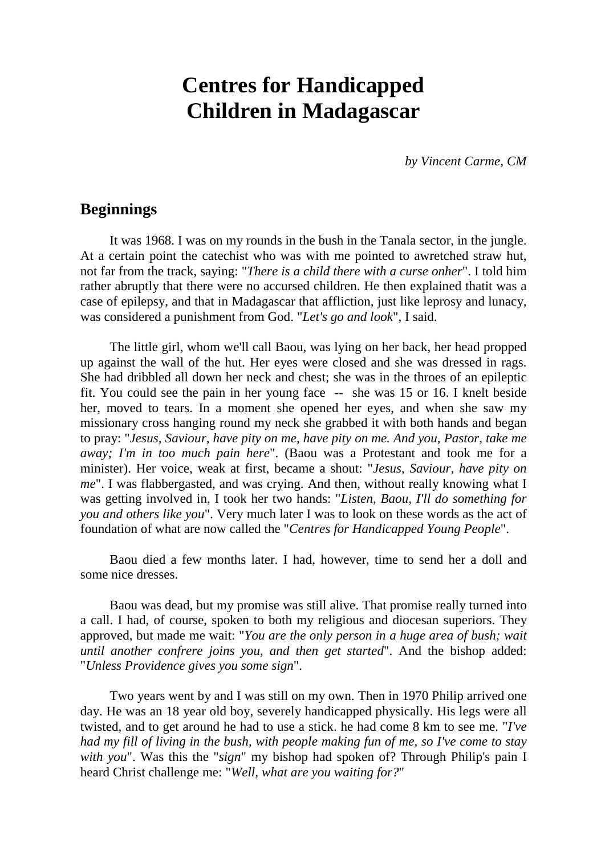# **Centres for Handicapped Children in Madagascar**

*by Vincent Carme, CM*

## **Beginnings**

It was 1968. I was on my rounds in the bush in the Tanala sector, in the jungle. At a certain point the catechist who was with me pointed to awretched straw hut, not far from the track, saying: "*There is a child there with a curse onher*". I told him rather abruptly that there were no accursed children. He then explained thatit was a case of epilepsy, and that in Madagascar that affliction, just like leprosy and lunacy, was considered a punishment from God. "*Let's go and look*", I said.

The little girl, whom we'll call Baou, was lying on her back, her head propped up against the wall of the hut. Her eyes were closed and she was dressed in rags. She had dribbled all down her neck and chest; she was in the throes of an epileptic fit. You could see the pain in her young face -- she was 15 or 16. I knelt beside her, moved to tears. In a moment she opened her eyes, and when she saw my missionary cross hanging round my neck she grabbed it with both hands and began to pray: "*Jesus, Saviour, have pity on me, have pity on me. And you, Pastor, take me away; I'm in too much pain here*". (Baou was a Protestant and took me for a minister). Her voice, weak at first, became a shout: "*Jesus, Saviour, have pity on me*". I was flabbergasted, and was crying. And then, without really knowing what I was getting involved in, I took her two hands: "*Listen, Baou, I'll do something for you and others like you*". Very much later I was to look on these words as the act of foundation of what are now called the "*Centres for Handicapped Young People*".

Baou died a few months later. I had, however, time to send her a doll and some nice dresses.

Baou was dead, but my promise was still alive. That promise really turned into a call. I had, of course, spoken to both my religious and diocesan superiors. They approved, but made me wait: "*You are the only person in a huge area of bush; wait until another confrere joins you, and then get started*". And the bishop added: "*Unless Providence gives you some sign*".

Two years went by and I was still on my own. Then in 1970 Philip arrived one day. He was an 18 year old boy, severely handicapped physically. His legs were all twisted, and to get around he had to use a stick. he had come 8 km to see me. "*I've had my fill of living in the bush, with people making fun of me, so I've come to stay with you*". Was this the "*sign*" my bishop had spoken of? Through Philip's pain I heard Christ challenge me: "*Well, what are you waiting for?*"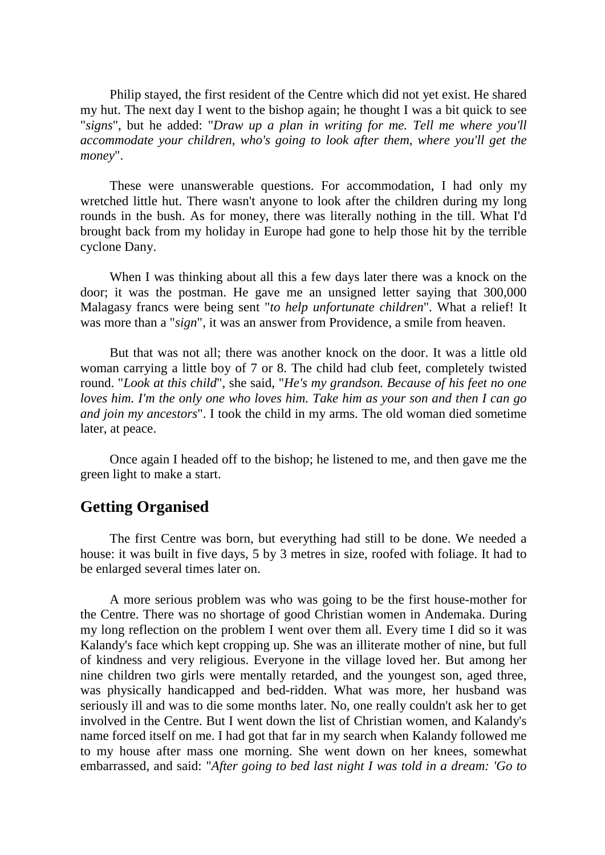Philip stayed, the first resident of the Centre which did not yet exist. He shared my hut. The next day I went to the bishop again; he thought I was a bit quick to see "*signs*", but he added: "*Draw up a plan in writing for me. Tell me where you'll accommodate your children, who's going to look after them, where you'll get the money*".

These were unanswerable questions. For accommodation, I had only my wretched little hut. There wasn't anyone to look after the children during my long rounds in the bush. As for money, there was literally nothing in the till. What I'd brought back from my holiday in Europe had gone to help those hit by the terrible cyclone Dany.

When I was thinking about all this a few days later there was a knock on the door; it was the postman. He gave me an unsigned letter saying that 300,000 Malagasy francs were being sent "*to help unfortunate children*". What a relief! It was more than a "*sign*", it was an answer from Providence, a smile from heaven.

But that was not all; there was another knock on the door. It was a little old woman carrying a little boy of 7 or 8. The child had club feet, completely twisted round. "*Look at this child*", she said, "*He's my grandson. Because of his feet no one loves him. I'm the only one who loves him. Take him as your son and then I can go and join my ancestors*". I took the child in my arms. The old woman died sometime later, at peace.

Once again I headed off to the bishop; he listened to me, and then gave me the green light to make a start.

## **Getting Organised**

The first Centre was born, but everything had still to be done. We needed a house: it was built in five days, 5 by 3 metres in size, roofed with foliage. It had to be enlarged several times later on.

A more serious problem was who was going to be the first house-mother for the Centre. There was no shortage of good Christian women in Andemaka. During my long reflection on the problem I went over them all. Every time I did so it was Kalandy's face which kept cropping up. She was an illiterate mother of nine, but full of kindness and very religious. Everyone in the village loved her. But among her nine children two girls were mentally retarded, and the youngest son, aged three, was physically handicapped and bed-ridden. What was more, her husband was seriously ill and was to die some months later. No, one really couldn't ask her to get involved in the Centre. But I went down the list of Christian women, and Kalandy's name forced itself on me. I had got that far in my search when Kalandy followed me to my house after mass one morning. She went down on her knees, somewhat embarrassed, and said: "*After going to bed last night I was told in a dream: 'Go to*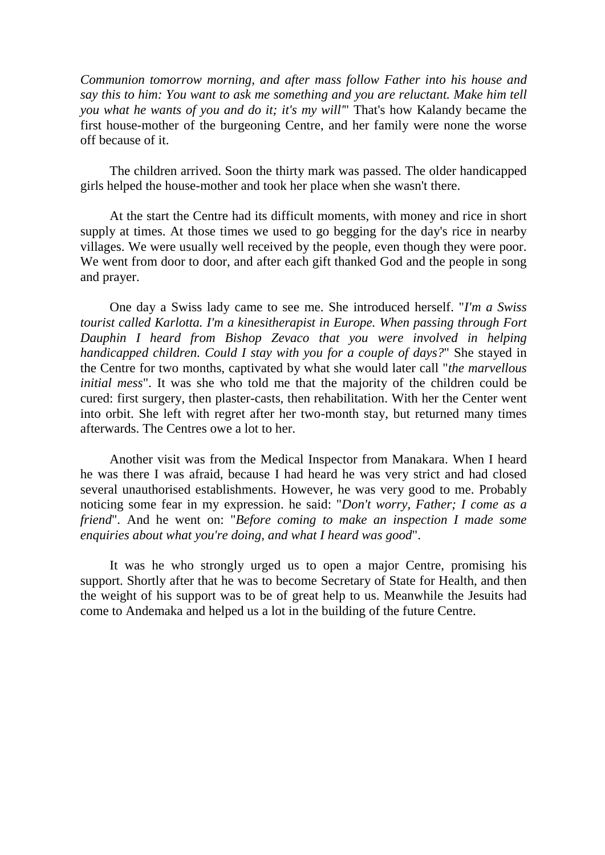*Communion tomorrow morning, and after mass follow Father into his house and say this to him: You want to ask me something and you are reluctant. Make him tell you what he wants of you and do it; it's my will'*" That's how Kalandy became the first house-mother of the burgeoning Centre, and her family were none the worse off because of it.

The children arrived. Soon the thirty mark was passed. The older handicapped girls helped the house-mother and took her place when she wasn't there.

At the start the Centre had its difficult moments, with money and rice in short supply at times. At those times we used to go begging for the day's rice in nearby villages. We were usually well received by the people, even though they were poor. We went from door to door, and after each gift thanked God and the people in song and prayer.

One day a Swiss lady came to see me. She introduced herself. "*I'm a Swiss tourist called Karlotta. I'm a kinesitherapist in Europe. When passing through Fort Dauphin I heard from Bishop Zevaco that you were involved in helping handicapped children. Could I stay with you for a couple of days?*" She stayed in the Centre for two months, captivated by what she would later call "*the marvellous initial mess*". It was she who told me that the majority of the children could be cured: first surgery, then plaster-casts, then rehabilitation. With her the Center went into orbit. She left with regret after her two-month stay, but returned many times afterwards. The Centres owe a lot to her.

Another visit was from the Medical Inspector from Manakara. When I heard he was there I was afraid, because I had heard he was very strict and had closed several unauthorised establishments. However, he was very good to me. Probably noticing some fear in my expression. he said: "*Don't worry, Father; I come as a friend*". And he went on: "*Before coming to make an inspection I made some enquiries about what you're doing, and what I heard was good*".

It was he who strongly urged us to open a major Centre, promising his support. Shortly after that he was to become Secretary of State for Health, and then the weight of his support was to be of great help to us. Meanwhile the Jesuits had come to Andemaka and helped us a lot in the building of the future Centre.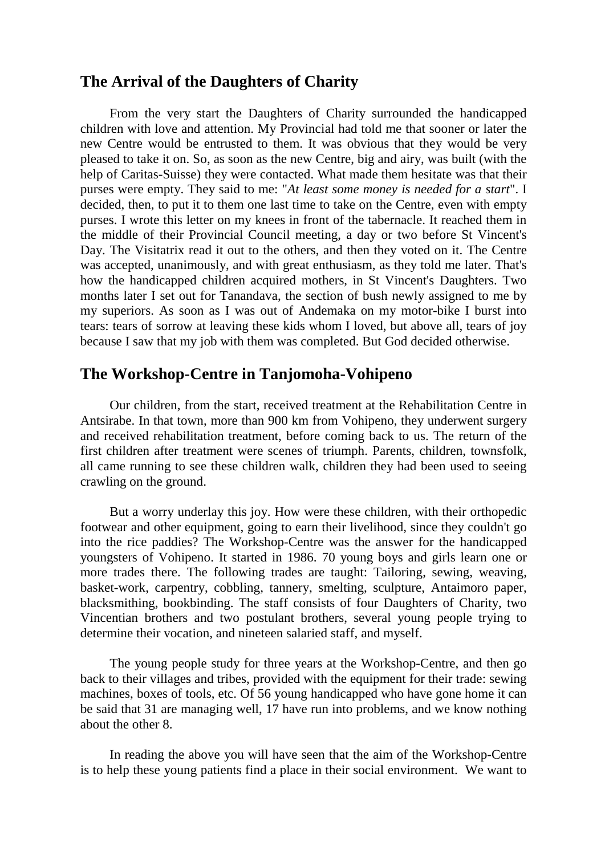#### **The Arrival of the Daughters of Charity**

From the very start the Daughters of Charity surrounded the handicapped children with love and attention. My Provincial had told me that sooner or later the new Centre would be entrusted to them. It was obvious that they would be very pleased to take it on. So, as soon as the new Centre, big and airy, was built (with the help of Caritas-Suisse) they were contacted. What made them hesitate was that their purses were empty. They said to me: "*At least some money is needed for a start*". I decided, then, to put it to them one last time to take on the Centre, even with empty purses. I wrote this letter on my knees in front of the tabernacle. It reached them in the middle of their Provincial Council meeting, a day or two before St Vincent's Day. The Visitatrix read it out to the others, and then they voted on it. The Centre was accepted, unanimously, and with great enthusiasm, as they told me later. That's how the handicapped children acquired mothers, in St Vincent's Daughters. Two months later I set out for Tanandava, the section of bush newly assigned to me by my superiors. As soon as I was out of Andemaka on my motor-bike I burst into tears: tears of sorrow at leaving these kids whom I loved, but above all, tears of joy because I saw that my job with them was completed. But God decided otherwise.

## **The Workshop-Centre in Tanjomoha-Vohipeno**

Our children, from the start, received treatment at the Rehabilitation Centre in Antsirabe. In that town, more than 900 km from Vohipeno, they underwent surgery and received rehabilitation treatment, before coming back to us. The return of the first children after treatment were scenes of triumph. Parents, children, townsfolk, all came running to see these children walk, children they had been used to seeing crawling on the ground.

But a worry underlay this joy. How were these children, with their orthopedic footwear and other equipment, going to earn their livelihood, since they couldn't go into the rice paddies? The Workshop-Centre was the answer for the handicapped youngsters of Vohipeno. It started in 1986. 70 young boys and girls learn one or more trades there. The following trades are taught: Tailoring, sewing, weaving, basket-work, carpentry, cobbling, tannery, smelting, sculpture, Antaimoro paper, blacksmithing, bookbinding. The staff consists of four Daughters of Charity, two Vincentian brothers and two postulant brothers, several young people trying to determine their vocation, and nineteen salaried staff, and myself.

The young people study for three years at the Workshop-Centre, and then go back to their villages and tribes, provided with the equipment for their trade: sewing machines, boxes of tools, etc. Of 56 young handicapped who have gone home it can be said that 31 are managing well, 17 have run into problems, and we know nothing about the other 8.

In reading the above you will have seen that the aim of the Workshop-Centre is to help these young patients find a place in their social environment. We want to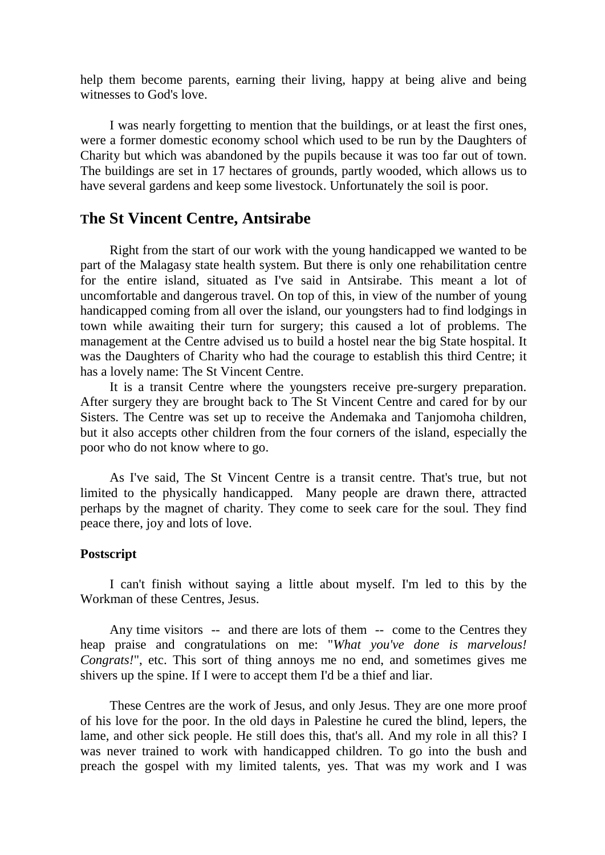help them become parents, earning their living, happy at being alive and being witnesses to God's love.

I was nearly forgetting to mention that the buildings, or at least the first ones, were a former domestic economy school which used to be run by the Daughters of Charity but which was abandoned by the pupils because it was too far out of town. The buildings are set in 17 hectares of grounds, partly wooded, which allows us to have several gardens and keep some livestock. Unfortunately the soil is poor.

#### **The St Vincent Centre, Antsirabe**

Right from the start of our work with the young handicapped we wanted to be part of the Malagasy state health system. But there is only one rehabilitation centre for the entire island, situated as I've said in Antsirabe. This meant a lot of uncomfortable and dangerous travel. On top of this, in view of the number of young handicapped coming from all over the island, our youngsters had to find lodgings in town while awaiting their turn for surgery; this caused a lot of problems. The management at the Centre advised us to build a hostel near the big State hospital. It was the Daughters of Charity who had the courage to establish this third Centre; it has a lovely name: The St Vincent Centre.

It is a transit Centre where the youngsters receive pre-surgery preparation. After surgery they are brought back to The St Vincent Centre and cared for by our Sisters. The Centre was set up to receive the Andemaka and Tanjomoha children, but it also accepts other children from the four corners of the island, especially the poor who do not know where to go.

As I've said, The St Vincent Centre is a transit centre. That's true, but not limited to the physically handicapped. Many people are drawn there, attracted perhaps by the magnet of charity. They come to seek care for the soul. They find peace there, joy and lots of love.

#### **Postscript**

I can't finish without saying a little about myself. I'm led to this by the Workman of these Centres, Jesus.

Any time visitors -- and there are lots of them -- come to the Centres they heap praise and congratulations on me: "*What you've done is marvelous! Congrats!*", etc. This sort of thing annoys me no end, and sometimes gives me shivers up the spine. If I were to accept them I'd be a thief and liar.

These Centres are the work of Jesus, and only Jesus. They are one more proof of his love for the poor. In the old days in Palestine he cured the blind, lepers, the lame, and other sick people. He still does this, that's all. And my role in all this? I was never trained to work with handicapped children. To go into the bush and preach the gospel with my limited talents, yes. That was my work and I was